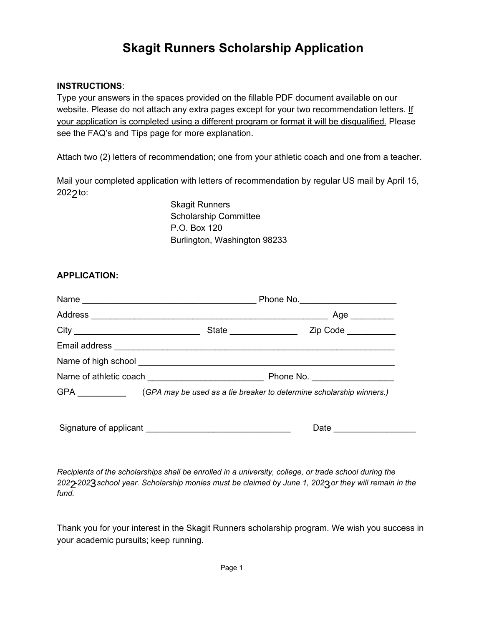## **Skagit Runners Scholarship Application**

## **INSTRUCTIONS**:

Type your answers in the spaces provided on the fillable PDF document available on our website. Please do not attach any extra pages except for your two recommendation letters. If your application is completed using a different program or format it will be disqualified. Please see the FAQ's and Tips page for more explanation.

Attach two (2) letters of recommendation; one from your athletic coach and one from a teacher.

Mail your completed application with letters of recommendation by regular US mail by April 15, 202<sub>2</sub> to:

> Skagit Runners Scholarship Committee P.O. Box 120 Burlington, Washington 98233

## **APPLICATION:**

|                                                                                           |                        | Age _________       |
|-------------------------------------------------------------------------------------------|------------------------|---------------------|
|                                                                                           | State ________________ | Zip Code            |
|                                                                                           |                        |                     |
|                                                                                           |                        |                     |
|                                                                                           |                        |                     |
| GPA _________________(GPA may be used as a tie breaker to determine scholarship winners.) |                        |                     |
|                                                                                           |                        | Date ______________ |

*Recipients of the scholarships shall be enrolled in a university, college, or trade school during the* 202 $\rm 2$ 202 $\rm 3$ school year. Scholarship monies must be claimed by June 1, 202 $\rm 3$ or they will remain in the *fund.*

Thank you for your interest in the Skagit Runners scholarship program. We wish you success in your academic pursuits; keep running.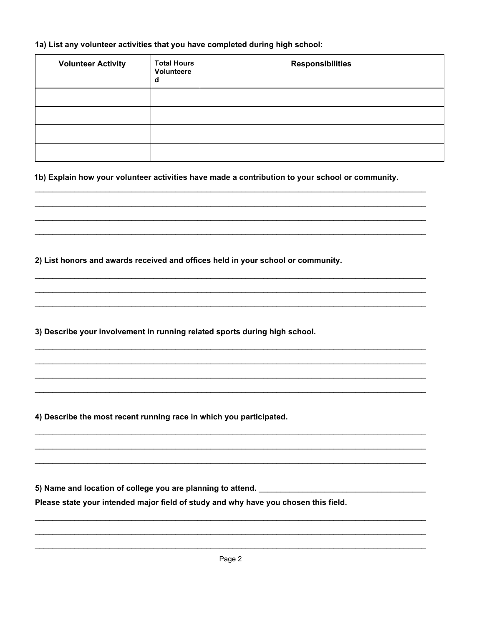## 1a) List any volunteer activities that you have completed during high school:

| <b>Volunteer Activity</b> | <b>Total Hours</b><br>Volunteere<br>d | <b>Responsibilities</b> |
|---------------------------|---------------------------------------|-------------------------|
|                           |                                       |                         |
|                           |                                       |                         |
|                           |                                       |                         |
|                           |                                       |                         |

1b) Explain how your volunteer activities have made a contribution to your school or community.

2) List honors and awards received and offices held in your school or community.

3) Describe your involvement in running related sports during high school.

4) Describe the most recent running race in which you participated.

5) Name and location of college you are planning to attend.

Please state your intended major field of study and why have you chosen this field.